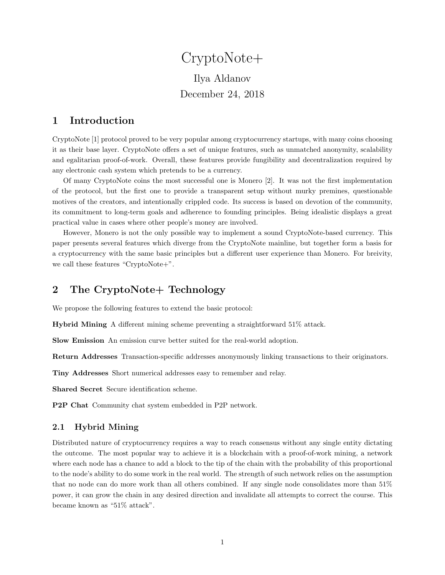# CryptoNote+ Ilya Aldanov December 24, 2018

## 1 Introduction

CryptoNote [\[1\]](#page-6-0) protocol proved to be very popular among cryptocurrency startups, with many coins choosing it as their base layer. CryptoNote offers a set of unique features, such as unmatched anonymity, scalability and egalitarian proof-of-work. Overall, these features provide fungibility and decentralization required by any electronic cash system which pretends to be a currency.

Of many CryptoNote coins the most successful one is Monero [\[2\]](#page-6-1). It was not the first implementation of the protocol, but the first one to provide a transparent setup without murky premines, questionable motives of the creators, and intentionally crippled code. Its success is based on devotion of the community, its commitment to long-term goals and adherence to founding principles. Being idealistic displays a great practical value in cases where other people's money are involved.

However, Monero is not the only possible way to implement a sound CryptoNote-based currency. This paper presents several features which diverge from the CryptoNote mainline, but together form a basis for a cryptocurrency with the same basic principles but a different user experience than Monero. For breivity, we call these features "CryptoNote+".

### 2 The CryptoNote+ Technology

We propose the following features to extend the basic protocol:

Hybrid Mining A different mining scheme preventing a straightforward 51% attack.

Slow Emission An emission curve better suited for the real-world adoption.

Return Addresses Transaction-specific addresses anonymously linking transactions to their originators.

Tiny Addresses Short numerical addresses easy to remember and relay.

Shared Secret Secure identification scheme.

P2P Chat Community chat system embedded in P2P network.

#### 2.1 Hybrid Mining

Distributed nature of cryptocurrency requires a way to reach consensus without any single entity dictating the outcome. The most popular way to achieve it is a blockchain with a proof-of-work mining, a network where each node has a chance to add a block to the tip of the chain with the probability of this proportional to the node's ability to do some work in the real world. The strength of such network relies on the assumption that no node can do more work than all others combined. If any single node consolidates more than 51% power, it can grow the chain in any desired direction and invalidate all attempts to correct the course. This became known as "51% attack".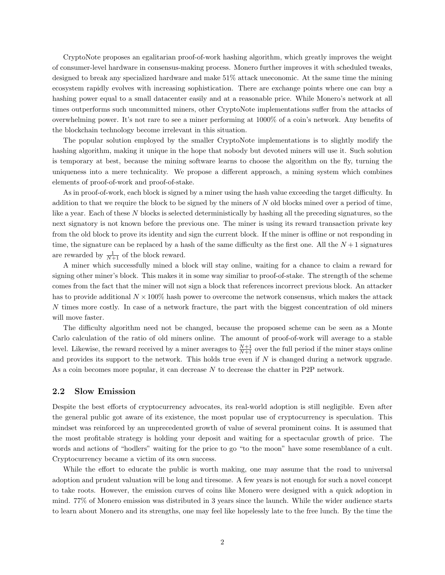CryptoNote proposes an egalitarian proof-of-work hashing algorithm, which greatly improves the weight of consumer-level hardware in consensus-making process. Monero further improves it with scheduled tweaks, designed to break any specialized hardware and make 51% attack uneconomic. At the same time the mining ecosystem rapidly evolves with increasing sophistication. There are exchange points where one can buy a hashing power equal to a small datacenter easily and at a reasonable price. While Monero's network at all times outperforms such uncommitted miners, other CryptoNote implementations suffer from the attacks of overwhelming power. It's not rare to see a miner performing at 1000% of a coin's network. Any benefits of the blockchain technology become irrelevant in this situation.

The popular solution employed by the smaller CryptoNote implementations is to slightly modify the hashing algorithm, making it unique in the hope that nobody but devoted miners will use it. Such solution is temporary at best, because the mining software learns to choose the algorithm on the fly, turning the uniqueness into a mere technicality. We propose a different approach, a mining system which combines elements of proof-of-work and proof-of-stake.

As in proof-of-work, each block is signed by a miner using the hash value exceeding the target difficulty. In addition to that we require the block to be signed by the miners of  $N$  old blocks mined over a period of time, like a year. Each of these N blocks is selected deterministically by hashing all the preceding signatures, so the next signatory is not known before the previous one. The miner is using its reward transaction private key from the old block to prove its identity and sign the current block. If the miner is offline or not responding in time, the signature can be replaced by a hash of the same difficulty as the first one. All the  $N+1$  signatures are rewarded by  $\frac{1}{N+1}$  of the block reward.

A miner which successfully mined a block will stay online, waiting for a chance to claim a reward for signing other miner's block. This makes it in some way similiar to proof-of-stake. The strength of the scheme comes from the fact that the miner will not sign a block that references incorrect previous block. An attacker has to provide additional  $N \times 100\%$  hash power to overcome the network consensus, which makes the attack N times more costly. In case of a network fracture, the part with the biggest concentration of old miners will move faster.

The difficulty algorithm need not be changed, because the proposed scheme can be seen as a Monte Carlo calculation of the ratio of old miners online. The amount of proof-of-work will average to a stable level. Likewise, the reward received by a miner averages to  $\frac{N+1}{N+1}$  over the full period if the miner stays online and provides its support to the network. This holds true even if  $N$  is changed during a network upgrade. As a coin becomes more popular, it can decrease N to decrease the chatter in P2P network.

#### 2.2 Slow Emission

Despite the best efforts of cryptocurrency advocates, its real-world adoption is still negligible. Even after the general public got aware of its existence, the most popular use of cryptocurrency is speculation. This mindset was reinforced by an unprecedented growth of value of several prominent coins. It is assumed that the most profitable strategy is holding your deposit and waiting for a spectacular growth of price. The words and actions of "hodlers" waiting for the price to go "to the moon" have some resemblance of a cult. Cryptocurrency became a victim of its own success.

While the effort to educate the public is worth making, one may assume that the road to universal adoption and prudent valuation will be long and tiresome. A few years is not enough for such a novel concept to take roots. However, the emission curves of coins like Monero were designed with a quick adoption in mind. 77% of Monero emission was distributed in 3 years since the launch. While the wider audience starts to learn about Monero and its strengths, one may feel like hopelessly late to the free lunch. By the time the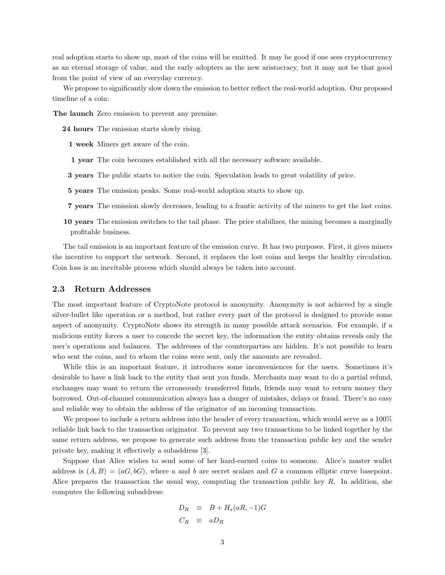real adoption starts to show up, most of the coins will be emitted. It may be good if one sees cryptocurrency as an eternal storage of value, and the early adopters as the new aristocracy, but it may not be that good from the point of view of an everyday currency.

We propose to significantly slow down the emission to better reflect the real-world adoption. Our proposed timeline of a coin:

The launch Zero emission to prevent any premine.

24 hours The emission starts slowly rising.

1 week Miners get aware of the coin.

- 1 year The coin becomes established with all the necessary software available.
- 3 years The public starts to notice the coin. Speculation leads to great volatility of price.
- 5 years The emission peaks. Some real-world adoption starts to show up.
- 7 years The emission slowly decreases, leading to a frantic activity of the miners to get the last coins.
- 10 years The emission switches to the tail phase. The price stabilizes, the mining becomes a marginally profitable business.

The tail emission is an important feature of the emission curve. It has two purposes. First, it gives miners the incentive to support the network. Second, it replaces the lost coins and keeps the healthy circulation. Coin loss is an inevitable process which should always be taken into account.

#### 2.3 Return Addresses

The most important feature of CryptoNote protocol is anonymity. Anonymity is not achieved by a single silver-bullet like operation or a method, but rather every part of the protocol is designed to provide some aspect of anonymity. CryptoNote shows its strength in many possible attack scenarios. For example, if a malicious entity forces a user to concede the secret key, the information the entity obtains reveals only the user's operations and balances. The addresses of the counterparties are hidden. It's not possible to learn who sent the coins, and to whom the coins were sent, only the amounts are revealed.

While this is an important feature, it introduces some inconveniences for the users. Sometimes it's desirable to have a link back to the entity that sent you funds. Merchants may want to do a partial refund, exchanges may want to return the erroneously transferred funds, friends may want to return money they borrowed. Out-of-channel communication always has a danger of mistakes, delays or fraud. There's no easy and reliable way to obtain the address of the originator of an incoming transaction.

We propose to include a return address into the header of every transaction, which would serve as a  $100\%$ reliable link back to the transaction originator. To prevent any two transactions to be linked together by the same return address, we propose to generate such address from the transaction public key and the sender private key, making it effectively a subaddress [\[3\]](#page-6-2).

Suppose that Alice wishes to send some of her hard-earned coins to someone. Alice's master wallet address is  $(A, B) = (aG, bG)$ , where a and b are secret scalars and G a common elliptic curve basepoint. Alice prepares the transaction the usual way, computing the transaction public key  $R$ . In addition, she computes the following subaddress:

$$
D_R \equiv B + H_s(aR, -1)G
$$
  

$$
C_R \equiv aD_R
$$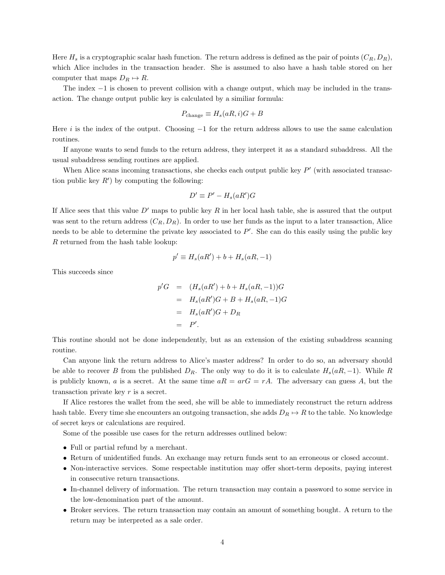Here  $H_s$  is a cryptographic scalar hash function. The return address is defined as the pair of points  $(C_R, D_R)$ , which Alice includes in the transaction header. She is assumed to also have a hash table stored on her computer that maps  $D_R \mapsto R$ .

The index −1 is chosen to prevent collision with a change output, which may be included in the transaction. The change output public key is calculated by a similiar formula:

$$
P_{\text{change}} \equiv H_s(aR, i)G + B
$$

Here i is the index of the output. Choosing  $-1$  for the return address allows to use the same calculation routines.

If anyone wants to send funds to the return address, they interpret it as a standard subaddress. All the usual subaddress sending routines are applied.

When Alice scans incoming transactions, she checks each output public key  $P'$  (with associated transaction public key  $R'$ ) by computing the following:

$$
D' \equiv P' - H_s(aR')G
$$

If Alice sees that this value  $D'$  maps to public key R in her local hash table, she is assured that the output was sent to the return address  $(C_R, D_R)$ . In order to use her funds as the input to a later transaction, Alice needs to be able to determine the private key associated to  $P'$ . She can do this easily using the public key R returned from the hash table lookup:

$$
p' \equiv H_s(aR') + b + H_s(aR, -1)
$$

This succeeds since

$$
p'G = (H_s(aR') + b + H_s(aR, -1))G
$$
  
=  $H_s(aR')G + B + H_s(aR, -1)G$   
=  $H_s(aR')G + D_R$   
=  $P'.$ 

This routine should not be done independently, but as an extension of the existing subaddress scanning routine.

Can anyone link the return address to Alice's master address? In order to do so, an adversary should be able to recover B from the published  $D_R$ . The only way to do it is to calculate  $H_s(aR, -1)$ . While R is publicly known, a is a secret. At the same time  $aR = arG = rA$ . The adversary can guess A, but the transaction private key r is a secret.

If Alice restores the wallet from the seed, she will be able to immediately reconstruct the return address hash table. Every time she encounters an outgoing transaction, she adds  $D_R \mapsto R$  to the table. No knowledge of secret keys or calculations are required.

Some of the possible use cases for the return addresses outlined below:

- Full or partial refund by a merchant.
- Return of unidentified funds. An exchange may return funds sent to an erroneous or closed account.
- Non-interactive services. Some respectable institution may offer short-term deposits, paying interest in consecutive return transactions.
- In-channel delivery of information. The return transaction may contain a password to some service in the low-denomination part of the amount.
- Broker services. The return transaction may contain an amount of something bought. A return to the return may be interpreted as a sale order.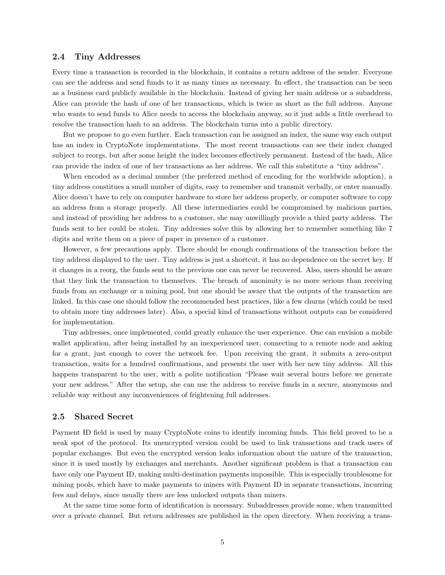#### 2.4 Tiny Addresses

Every time a transaction is recorded in the blockchain, it contains a return address of the sender. Everyone can see the address and send funds to it as many times as necessary. In effect, the transaction can be seen as a business card publicly available in the blockchain. Instead of giving her main address or a subaddress, Alice can provide the hash of one of her transactions, which is twice as short as the full address. Anyone who wants to send funds to Alice needs to access the blockchain anyway, so it just adds a little overhead to resolve the transaction hash to an address. The blockchain turns into a public directory.

But we propose to go even further. Each transaction can be assigned an index, the same way each output has an index in CryptoNote implementations. The most recent transactions can see their index changed subject to reorgs, but after some height the index becomes effectively permanent. Instead of the hash, Alice can provide the index of one of her transactions as her address. We call this substitute a "tiny address".

When encoded as a decimal number (the preferred method of encoding for the worldwide adoption), a tiny address constitues a small number of digits, easy to remember and transmit verbally, or enter manually. Alice doesn't have to rely on computer hardware to store her address properly, or computer software to copy an address from a storage properly. All these intermediaries could be compromised by malicious parties, and instead of providing her address to a customer, she may unwillingly provide a third party address. The funds sent to her could be stolen. Tiny addresses solve this by allowing her to remember something like 7 digits and write them on a piece of paper in presence of a customer.

However, a few precautions apply. There should be enough confirmations of the transaction before the tiny address displayed to the user. Tiny address is just a shortcut, it has no dependence on the secret key. If it changes in a reorg, the funds sent to the previous one can never be recovered. Also, users should be aware that they link the transaction to themselves. The breach of anonimity is no more serious than receiving funds from an exchange or a mining pool, but one should be aware that the outputs of the transaction are linked. In this case one should follow the recommended best practices, like a few churns (which could be used to obtain more tiny addresses later). Also, a special kind of transactions without outputs can be considered for implementation.

Tiny addresses, once implemented, could greatly enhance the user experience. One can envision a mobile wallet application, after being installed by an inexperienced user, connecting to a remote node and asking for a grant, just enough to cover the network fee. Upon receiving the grant, it submits a zero-output transaction, waits for a hundred confirmations, and presents the user with her new tiny address. All this happens transparent to the user, with a polite notification "Please wait several hours before we generate your new address." After the setup, she can use the address to receive funds in a secure, anonymous and reliable way without any inconveniences of frightening full addresses.

#### 2.5 Shared Secret

Payment ID field is used by many CryptoNote coins to identify incoming funds. This field proved to be a weak spot of the protocol. Its unencrypted version could be used to link transactions and track users of popular exchanges. But even the encrypted version leaks information about the nature of the transaction, since it is used mostly by exchanges and merchants. Another significant problem is that a transaction can have only one Payment ID, making multi-destination payments impossible. This is especially troublesome for mining pools, which have to make payments to miners with Payment ID in separate transactions, incurring fees and delays, since usually there are less unlocked outputs than miners.

At the same time some form of identification is necessary. Subaddresses provide some, when transmitted over a private channel. But return addresses are published in the open directory. When receiving a trans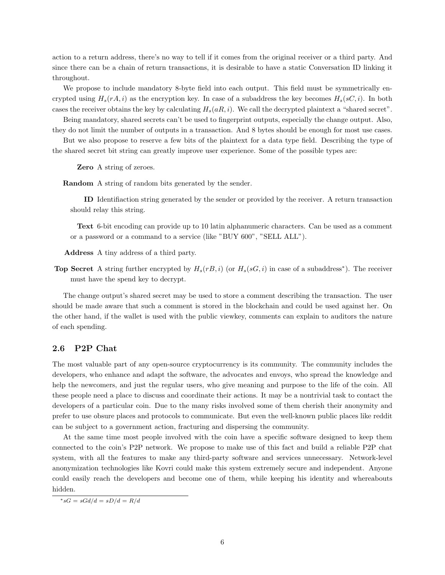action to a return address, there's no way to tell if it comes from the original receiver or a third party. And since there can be a chain of return transactions, it is desirable to have a static Conversation ID linking it throughout.

We propose to include mandatory 8-byte field into each output. This field must be symmetrically encrypted using  $H_s(rA, i)$  as the encryption key. In case of a subaddress the key becomes  $H_s(sC, i)$ . In both cases the receiver obtains the key by calculating  $H_s(aR, i)$ . We call the decrypted plaintext a "shared secret".

Being mandatory, shared secrets can't be used to fingerprint outputs, especially the change output. Also, they do not limit the number of outputs in a transaction. And 8 bytes should be enough for most use cases.

But we also propose to reserve a few bits of the plaintext for a data type field. Describing the type of the shared secret bit string can greatly improve user experience. Some of the possible types are:

Zero A string of zeroes.

Random A string of random bits generated by the sender.

ID Identifiaction string generated by the sender or provided by the receiver. A return transaction should relay this string.

Text 6-bit encoding can provide up to 10 latin alphanumeric characters. Can be used as a comment or a password or a command to a service (like "BUY 600", "SELL ALL").

Address A tiny address of a third party.

**Top Secret** A string further encrypted by  $H_s(rB, i)$  (or  $H_s(sG, i)$  in case of a subaddress<sup>\*</sup>). The receiver must have the spend key to decrypt.

The change output's shared secret may be used to store a comment describing the transaction. The user should be made aware that such a comment is stored in the blockchain and could be used against her. On the other hand, if the wallet is used with the public viewkey, comments can explain to auditors the nature of each spending.

#### 2.6 P2P Chat

The most valuable part of any open-source cryptocurrency is its community. The community includes the developers, who enhance and adapt the software, the advocates and envoys, who spread the knowledge and help the newcomers, and just the regular users, who give meaning and purpose to the life of the coin. All these people need a place to discuss and coordinate their actions. It may be a nontrivial task to contact the developers of a particular coin. Due to the many risks involved some of them cherish their anonymity and prefer to use obsure places and protocols to communicate. But even the well-known public places like reddit can be subject to a government action, fracturing and dispersing the community.

At the same time most people involved with the coin have a specific software designed to keep them connected to the coin's P2P network. We propose to make use of this fact and build a reliable P2P chat system, with all the features to make any third-party software and services unnecessary. Network-level anonymization technologies like Kovri could make this system extremely secure and independent. Anyone could easily reach the developers and become one of them, while keeping his identity and whereabouts hidden.

<span id="page-5-0"></span> $*_sG = sGd/d = sD/d = R/d$